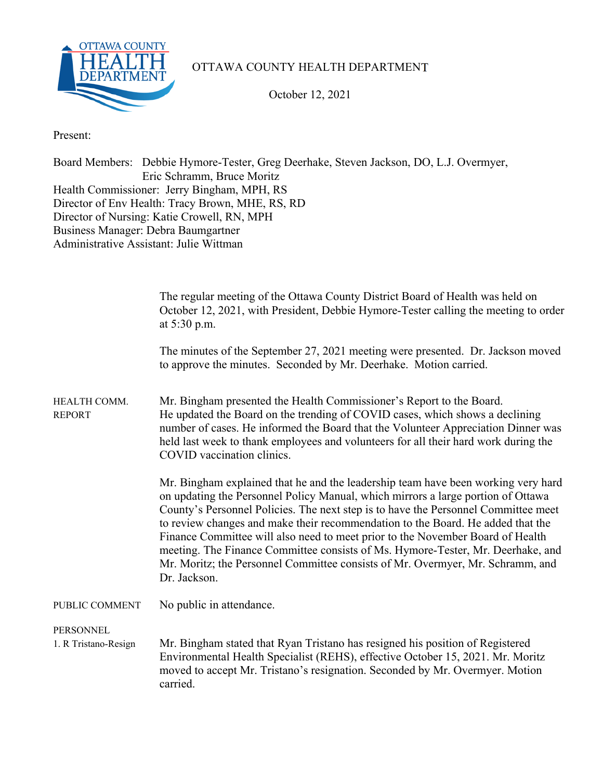

## OTTAWA COUNTY HEALTH DEPARTMENT

October 12, 2021

Present:

Board Members: Debbie Hymore-Tester, Greg Deerhake, Steven Jackson, DO, L.J. Overmyer, Eric Schramm, Bruce Moritz Health Commissioner: Jerry Bingham, MPH, RS Director of Env Health: Tracy Brown, MHE, RS, RD Director of Nursing: Katie Crowell, RN, MPH Business Manager: Debra Baumgartner Administrative Assistant: Julie Wittman

|                               | The regular meeting of the Ottawa County District Board of Health was held on<br>October 12, 2021, with President, Debbie Hymore-Tester calling the meeting to order<br>at 5:30 p.m.                                                                                                                                                                                                                                                                                                                                                                                                                                  |
|-------------------------------|-----------------------------------------------------------------------------------------------------------------------------------------------------------------------------------------------------------------------------------------------------------------------------------------------------------------------------------------------------------------------------------------------------------------------------------------------------------------------------------------------------------------------------------------------------------------------------------------------------------------------|
|                               | The minutes of the September 27, 2021 meeting were presented. Dr. Jackson moved<br>to approve the minutes. Seconded by Mr. Deerhake. Motion carried.                                                                                                                                                                                                                                                                                                                                                                                                                                                                  |
| HEALTH COMM.<br><b>REPORT</b> | Mr. Bingham presented the Health Commissioner's Report to the Board.<br>He updated the Board on the trending of COVID cases, which shows a declining<br>number of cases. He informed the Board that the Volunteer Appreciation Dinner was<br>held last week to thank employees and volunteers for all their hard work during the<br>COVID vaccination clinics.                                                                                                                                                                                                                                                        |
|                               | Mr. Bingham explained that he and the leadership team have been working very hard<br>on updating the Personnel Policy Manual, which mirrors a large portion of Ottawa<br>County's Personnel Policies. The next step is to have the Personnel Committee meet<br>to review changes and make their recommendation to the Board. He added that the<br>Finance Committee will also need to meet prior to the November Board of Health<br>meeting. The Finance Committee consists of Ms. Hymore-Tester, Mr. Deerhake, and<br>Mr. Moritz; the Personnel Committee consists of Mr. Overmyer, Mr. Schramm, and<br>Dr. Jackson. |
| PUBLIC COMMENT                | No public in attendance.                                                                                                                                                                                                                                                                                                                                                                                                                                                                                                                                                                                              |
| <b>PERSONNEL</b>              |                                                                                                                                                                                                                                                                                                                                                                                                                                                                                                                                                                                                                       |
| 1. R Tristano-Resign          | Mr. Bingham stated that Ryan Tristano has resigned his position of Registered<br>Environmental Health Specialist (REHS), effective October 15, 2021. Mr. Moritz<br>moved to accept Mr. Tristano's resignation. Seconded by Mr. Overmyer. Motion<br>carried.                                                                                                                                                                                                                                                                                                                                                           |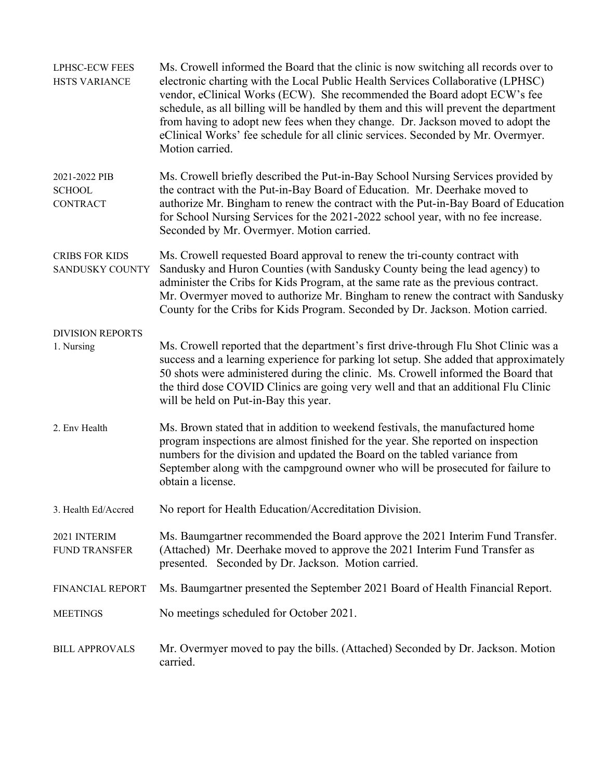| <b>LPHSC-ECW FEES</b><br><b>HSTS VARIANCE</b>     | Ms. Crowell informed the Board that the clinic is now switching all records over to<br>electronic charting with the Local Public Health Services Collaborative (LPHSC)<br>vendor, eClinical Works (ECW). She recommended the Board adopt ECW's fee<br>schedule, as all billing will be handled by them and this will prevent the department<br>from having to adopt new fees when they change. Dr. Jackson moved to adopt the<br>eClinical Works' fee schedule for all clinic services. Seconded by Mr. Overmyer.<br>Motion carried. |  |  |  |
|---------------------------------------------------|--------------------------------------------------------------------------------------------------------------------------------------------------------------------------------------------------------------------------------------------------------------------------------------------------------------------------------------------------------------------------------------------------------------------------------------------------------------------------------------------------------------------------------------|--|--|--|
| 2021-2022 PIB<br><b>SCHOOL</b><br><b>CONTRACT</b> | Ms. Crowell briefly described the Put-in-Bay School Nursing Services provided by<br>the contract with the Put-in-Bay Board of Education. Mr. Deerhake moved to<br>authorize Mr. Bingham to renew the contract with the Put-in-Bay Board of Education<br>for School Nursing Services for the 2021-2022 school year, with no fee increase.<br>Seconded by Mr. Overmyer. Motion carried.                                                                                                                                                |  |  |  |
| <b>CRIBS FOR KIDS</b><br>SANDUSKY COUNTY          | Ms. Crowell requested Board approval to renew the tri-county contract with<br>Sandusky and Huron Counties (with Sandusky County being the lead agency) to<br>administer the Cribs for Kids Program, at the same rate as the previous contract.<br>Mr. Overmyer moved to authorize Mr. Bingham to renew the contract with Sandusky<br>County for the Cribs for Kids Program. Seconded by Dr. Jackson. Motion carried.                                                                                                                 |  |  |  |
| <b>DIVISION REPORTS</b><br>1. Nursing             | Ms. Crowell reported that the department's first drive-through Flu Shot Clinic was a<br>success and a learning experience for parking lot setup. She added that approximately<br>50 shots were administered during the clinic. Ms. Crowell informed the Board that<br>the third dose COVID Clinics are going very well and that an additional Flu Clinic<br>will be held on Put-in-Bay this year.                                                                                                                                    |  |  |  |
| 2. Env Health                                     | Ms. Brown stated that in addition to weekend festivals, the manufactured home<br>program inspections are almost finished for the year. She reported on inspection<br>numbers for the division and updated the Board on the tabled variance from<br>September along with the campground owner who will be prosecuted for failure to<br>obtain a license.                                                                                                                                                                              |  |  |  |
| 3. Health Ed/Accred                               | No report for Health Education/Accreditation Division.                                                                                                                                                                                                                                                                                                                                                                                                                                                                               |  |  |  |
| 2021 INTERIM<br><b>FUND TRANSFER</b>              | Ms. Baumgartner recommended the Board approve the 2021 Interim Fund Transfer.<br>(Attached) Mr. Deerhake moved to approve the 2021 Interim Fund Transfer as<br>presented. Seconded by Dr. Jackson. Motion carried.                                                                                                                                                                                                                                                                                                                   |  |  |  |
| FINANCIAL REPORT                                  | Ms. Baumgartner presented the September 2021 Board of Health Financial Report.                                                                                                                                                                                                                                                                                                                                                                                                                                                       |  |  |  |
| <b>MEETINGS</b>                                   | No meetings scheduled for October 2021.                                                                                                                                                                                                                                                                                                                                                                                                                                                                                              |  |  |  |
| <b>BILL APPROVALS</b>                             | Mr. Overmyer moved to pay the bills. (Attached) Seconded by Dr. Jackson. Motion<br>carried.                                                                                                                                                                                                                                                                                                                                                                                                                                          |  |  |  |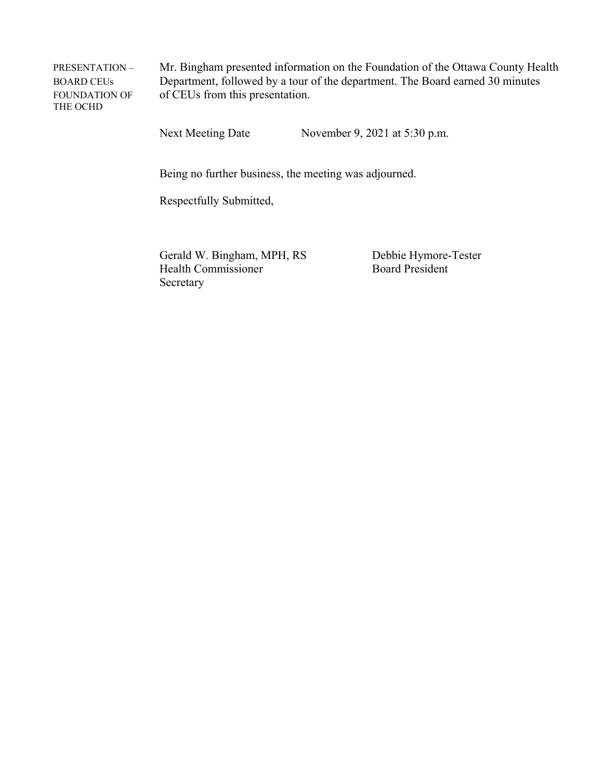THE OCHD

PRESENTATION – Mr. Bingham presented information on the Foundation of the Ottawa County Health BOARD CEUs Department, followed by a tour of the department. The Board earned 30 minutes FOUNDATION OF of CEUs from this presentation.

Next Meeting Date November 9, 2021 at 5:30 p.m.

Being no further business, the meeting was adjourned.

Respectfully Submitted,

Gerald W. Bingham, MPH, RS Debbie Hymore-Tester Health Commissioner Board President Secretary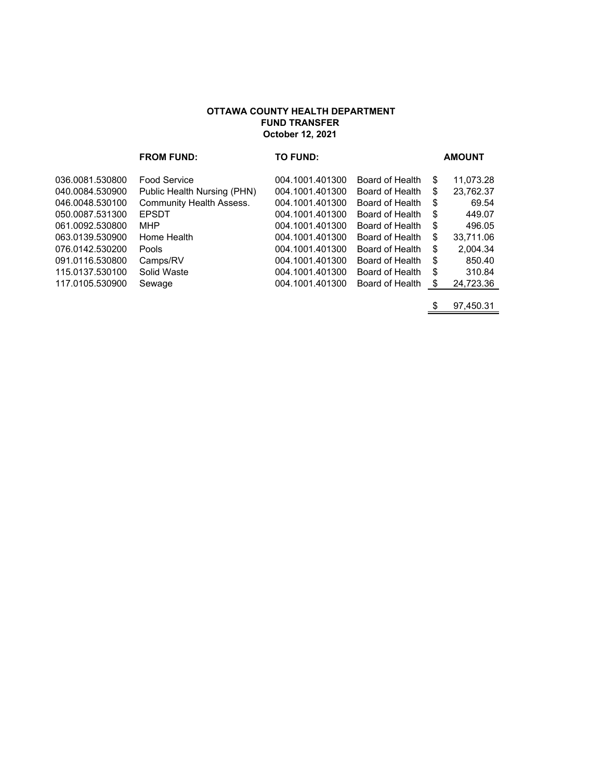## **OTTAWA COUNTY HEALTH DEPARTMENT FUND TRANSFER October 12, 2021**

|                 | <b>FROM FUND:</b>               | <b>TO FUND:</b> |                 |    | <b>AMOUNT</b> |
|-----------------|---------------------------------|-----------------|-----------------|----|---------------|
| 036.0081.530800 | <b>Food Service</b>             | 004.1001.401300 | Board of Health | S  | 11,073.28     |
| 040.0084.530900 | Public Health Nursing (PHN)     | 004.1001.401300 | Board of Health | \$ | 23,762.37     |
| 046.0048.530100 | <b>Community Health Assess.</b> | 004.1001.401300 | Board of Health | \$ | 69.54         |
| 050.0087.531300 | <b>EPSDT</b>                    | 004.1001.401300 | Board of Health | \$ | 449.07        |
| 061.0092.530800 | MHP                             | 004.1001.401300 | Board of Health | \$ | 496.05        |
| 063.0139.530900 | Home Health                     | 004.1001.401300 | Board of Health | \$ | 33.711.06     |
| 076.0142.530200 | Pools                           | 004.1001.401300 | Board of Health | \$ | 2,004.34      |
| 091.0116.530800 | Camps/RV                        | 004.1001.401300 | Board of Health | \$ | 850.40        |
| 115.0137.530100 | Solid Waste                     | 004.1001.401300 | Board of Health | \$ | 310.84        |
| 117.0105.530900 | Sewage                          | 004.1001.401300 | Board of Health | \$ | 24,723.36     |
|                 |                                 |                 |                 |    |               |

\$ 97,450.31